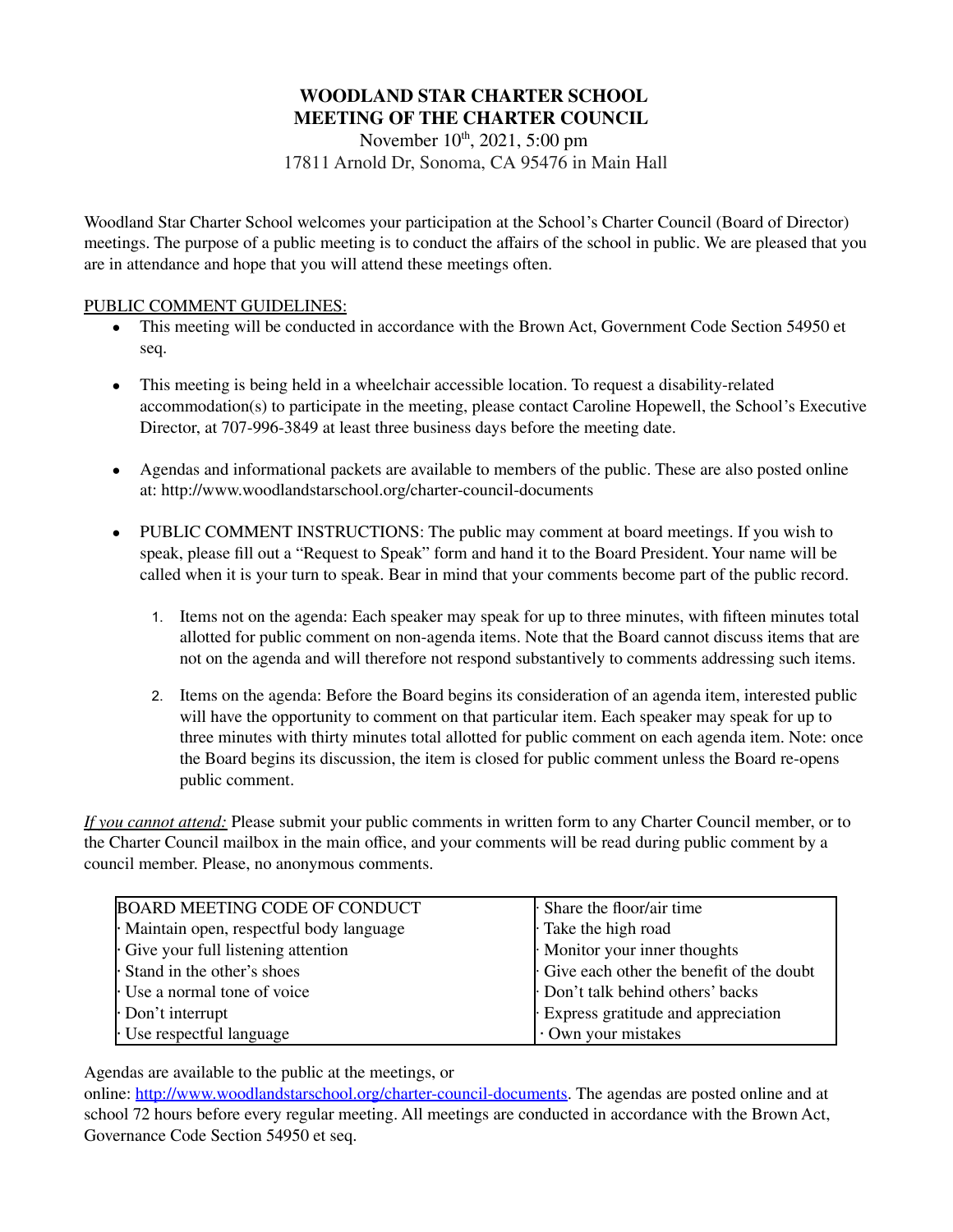# **WOODLAND STAR CHARTER SCHOOL MEETING OF THE CHARTER COUNCIL**

November 10<sup>th</sup>, 2021, 5:00 pm 17811 Arnold Dr, Sonoma, CA 95476 in Main Hall

Woodland Star Charter School welcomes your participation at the School's Charter Council (Board of Director) meetings. The purpose of a public meeting is to conduct the affairs of the school in public. We are pleased that you are in attendance and hope that you will attend these meetings often.

## PUBLIC COMMENT GUIDELINES:

- This meeting will be conducted in accordance with the Brown Act, Government Code Section 54950 et seq.
- This meeting is being held in a wheelchair accessible location. To request a disability-related accommodation(s) to participate in the meeting, please contact Caroline Hopewell, the School's Executive Director, at 707-996-3849 at least three business days before the meeting date.
- Agendas and informational packets are available to members of the public. These are also posted online at: http://www.woodlandstarschool.org/charter-council-documents
- PUBLIC COMMENT INSTRUCTIONS: The public may comment at board meetings. If you wish to speak, please fill out a "Request to Speak" form and hand it to the Board President. Your name will be called when it is your turn to speak. Bear in mind that your comments become part of the public record.
	- 1. Items not on the agenda: Each speaker may speak for up to three minutes, with fifteen minutes total allotted for public comment on non-agenda items. Note that the Board cannot discuss items that are not on the agenda and will therefore not respond substantively to comments addressing such items.
	- 2. Items on the agenda: Before the Board begins its consideration of an agenda item, interested public will have the opportunity to comment on that particular item. Each speaker may speak for up to three minutes with thirty minutes total allotted for public comment on each agenda item. Note: once the Board begins its discussion, the item is closed for public comment unless the Board re-opens public comment.

*If you cannot attend:* Please submit your public comments in written form to any Charter Council member, or to the Charter Council mailbox in the main office, and your comments will be read during public comment by a council member. Please, no anonymous comments.

| <b>BOARD MEETING CODE OF CONDUCT</b>    | · Share the floor/air time               |
|-----------------------------------------|------------------------------------------|
| Maintain open, respectful body language | Take the high road                       |
| Give your full listening attention      | $\cdot$ Monitor your inner thoughts      |
| Stand in the other's shoes              | Give each other the benefit of the doubt |
| Use a normal tone of voice              | Don't talk behind others' backs          |
| $\cdot$ Don't interrupt                 | Express gratitude and appreciation       |
| $\cdot$ Use respectful language         | Own your mistakes                        |

Agendas are available to the public at the meetings, or

online: [http://www.woodlandstarschool.org/charter-council-documents.](http://www.woodlandstarschool.org/charter-council-documents) The agendas are posted online and at school 72 hours before every regular meeting. All meetings are conducted in accordance with the Brown Act, Governance Code Section 54950 et seq.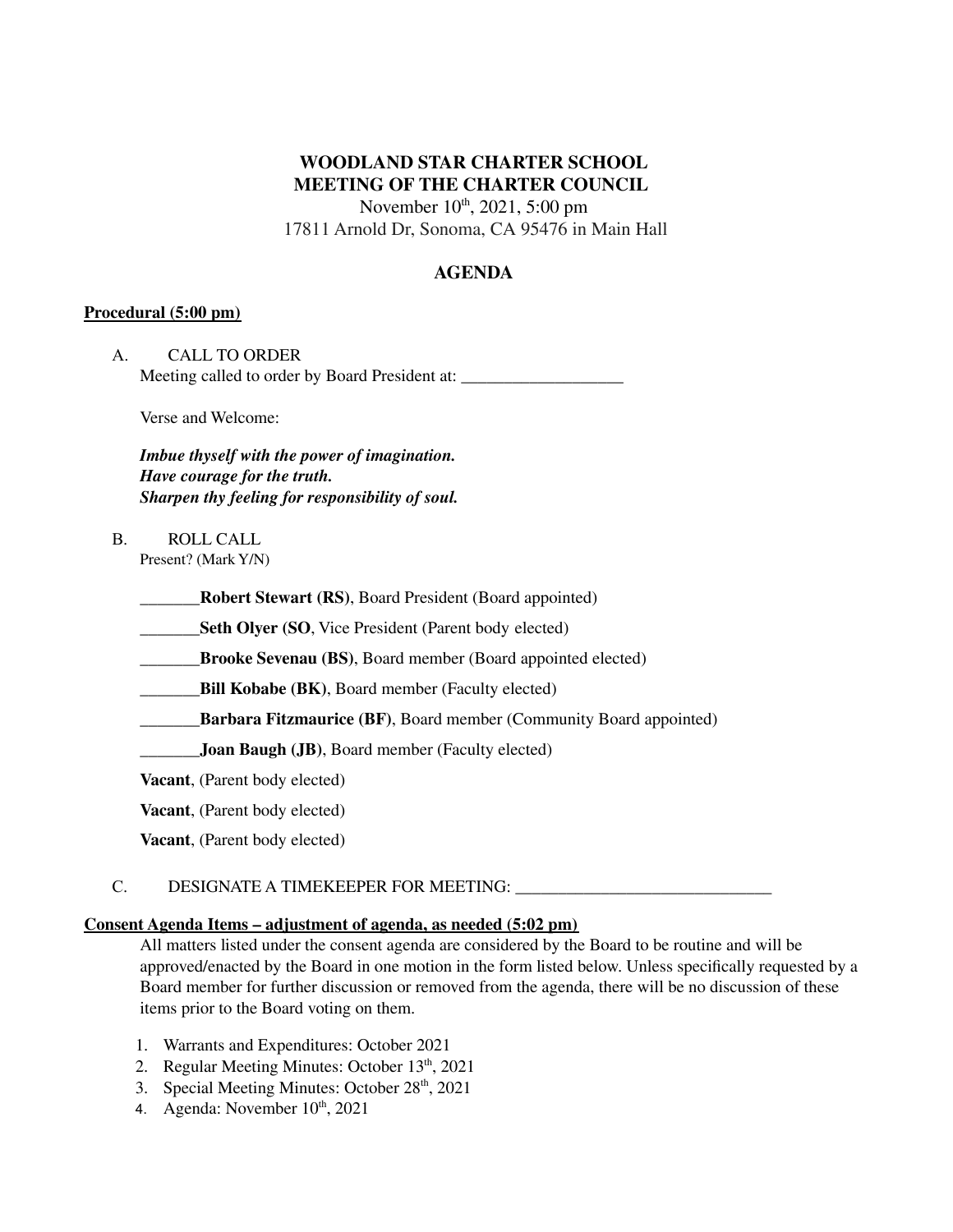# **WOODLAND STAR CHARTER SCHOOL MEETING OF THE CHARTER COUNCIL**

November 10<sup>th</sup>, 2021, 5:00 pm 17811 Arnold Dr, Sonoma, CA 95476 in Main Hall

# **AGENDA**

## **Procedural (5:00 pm)**

| A | <b>CALL TO ORDER</b>                           |  |
|---|------------------------------------------------|--|
|   | Meeting called to order by Board President at: |  |

Verse and Welcome:

*Imbue thyself with the power of imagination. Have courage for the truth. Sharpen thy feeling for responsibility of soul.*

B. ROLL CALL Present? (Mark Y/N)

**\_\_\_\_\_\_\_Robert Stewart (RS)**, Board President (Board appointed)

**Seth Olyer (SO, Vice President (Parent body elected)** 

**\_\_\_\_\_\_\_Brooke Sevenau (BS)**, Board member (Board appointed elected)

**Bill Kobabe (BK), Board member (Faculty elected)** 

**\_\_\_Barbara Fitzmaurice (BF)**, Board member (Community Board appointed)

**\_\_\_\_\_\_\_Joan Baugh (JB)**, Board member (Faculty elected)

**Vacant**, (Parent body elected)

**Vacant**, (Parent body elected)

**Vacant**, (Parent body elected)

## C. DESIGNATE A TIMEKEEPER FOR MEETING: \_\_\_\_\_\_\_\_\_\_\_\_\_\_\_\_\_\_\_\_\_\_\_\_\_\_\_\_\_\_

## **Consent Agenda Items – adjustment of agenda, as needed (5:02 pm)**

All matters listed under the consent agenda are considered by the Board to be routine and will be approved/enacted by the Board in one motion in the form listed below. Unless specifically requested by a Board member for further discussion or removed from the agenda, there will be no discussion of these items prior to the Board voting on them.

- 1. Warrants and Expenditures: October 2021
- 2. Regular Meeting Minutes: October 13<sup>th</sup>, 2021
- 3. Special Meeting Minutes: October 28<sup>th</sup>, 2021
- 4. Agenda: November  $10^{th}$ , 2021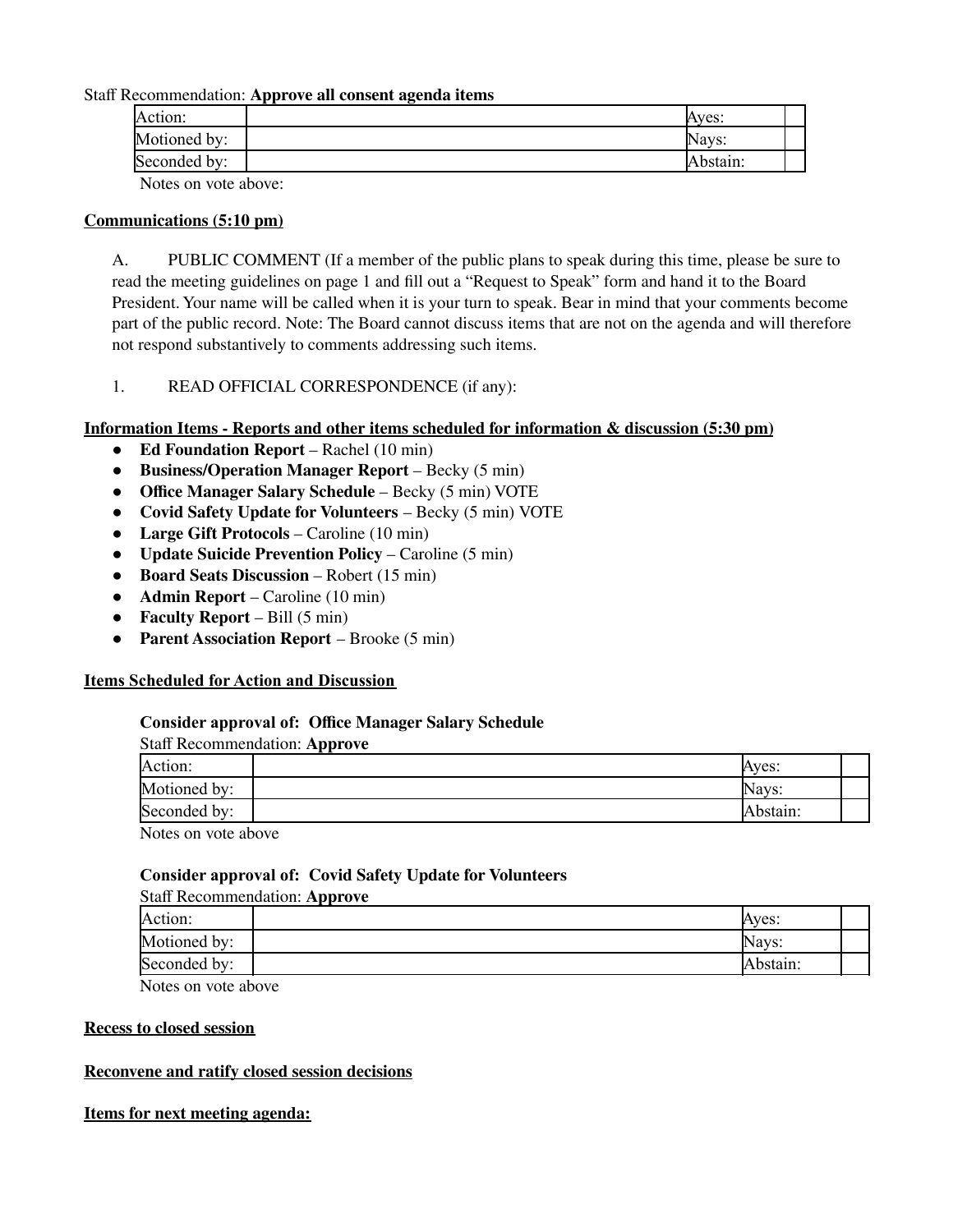#### Staff Recommendation: **Approve all consent agenda items**

| Nays:<br>:bstain. | Action:      | Aves: |  |
|-------------------|--------------|-------|--|
|                   | Motioned by: |       |  |
|                   | Seconded by: |       |  |

Notes on vote above:

#### **Communications (5:10 pm)**

A. PUBLIC COMMENT (If a member of the public plans to speak during this time, please be sure to read the meeting guidelines on page 1 and fill out a "Request to Speak" form and hand it to the Board President. Your name will be called when it is your turn to speak. Bear in mind that your comments become part of the public record. Note: The Board cannot discuss items that are not on the agenda and will therefore not respond substantively to comments addressing such items.

## 1. READ OFFICIAL CORRESPONDENCE (if any):

## **Information Items - Reports and other items scheduled for information & discussion (5:30 pm)**

- **Ed Foundation Report** Rachel (10 min)
- **Business/Operation Manager Report** Becky (5 min)
- **Office Manager Salary Schedule** Becky (5 min) VOTE
- **● Covid Safety Update for Volunteers** Becky (5 min) VOTE
- **● Large Gift Protocols** Caroline (10 min)
- **● Update Suicide Prevention Policy** Caroline (5 min)
- **Board Seats Discussion** Robert (15 min)
- **Admin Report** Caroline (10 min)
- **Faculty Report** Bill (5 min)
- **Parent Association Report** Brooke (5 min)

## **Items Scheduled for Action and Discussion**

## **Consider approval of: Office Manager Salary Schedule**

#### Staff Recommendation: **Approve**

| Action:             | Aves:    |  |
|---------------------|----------|--|
| Motioned by:        | Navs:    |  |
| Seconded by:        | Abstain: |  |
| Notes on yote above |          |  |

Notes on vote above

## **Consider approval of: Covid Safety Update for Volunteers**

#### Staff Recommendation: **Approve**

| Action:                         | Aves:    |  |
|---------------------------------|----------|--|
| Motioned by:                    | Navs:    |  |
| Seconded by:                    | Abstain: |  |
| the contract of the contract of |          |  |

Notes on vote above

#### **Recess to closed session**

#### **Reconvene and ratify closed session decisions**

#### **Items for next meeting agenda:**